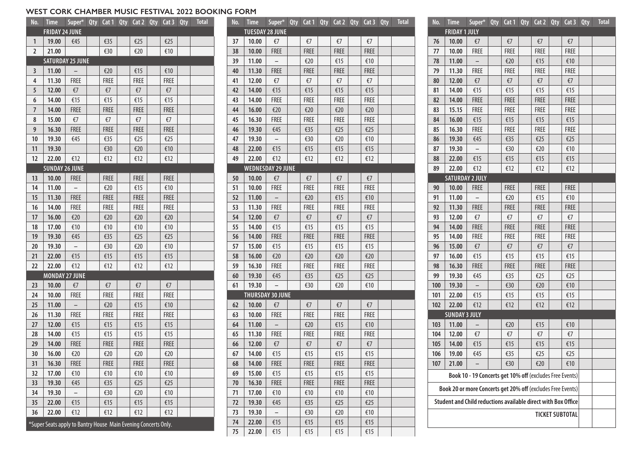#### **WEST CORK CHAMBER MUSIC FESTIVAL 2022 BOOKING FORM**

| No.                                                            | <b>Time</b>             | Super* Qty Cat 1 Qty Cat 2 Qty Cat 3 Qty |  |             |  |             |  |             | <b>Total</b> |
|----------------------------------------------------------------|-------------------------|------------------------------------------|--|-------------|--|-------------|--|-------------|--------------|
|                                                                | <b>FRIDAY 24 JUNE</b>   |                                          |  |             |  |             |  |             |              |
| 1                                                              | 19.00                   | €45                                      |  | €35         |  | €25         |  | €25         |              |
| $\overline{2}$                                                 | 21.00                   |                                          |  | €30         |  | €20         |  | €10         |              |
|                                                                | <b>SATURDAY 25 JUNE</b> |                                          |  |             |  |             |  |             |              |
| 3                                                              | 11.00                   |                                          |  | €20         |  | €15         |  | €10         |              |
| 4                                                              | 11.30                   | <b>FREE</b>                              |  | <b>FREE</b> |  | <b>FREE</b> |  | <b>FREE</b> |              |
| 5                                                              | 12.00                   | €7                                       |  | €7          |  | $\epsilon$  |  | $\epsilon$  |              |
| 6                                                              | 14.00                   | €15                                      |  | €15         |  | €15         |  | €15         |              |
| 7                                                              | 14.00                   | <b>FREE</b>                              |  | <b>FREE</b> |  | <b>FREE</b> |  | <b>FREE</b> |              |
| 8                                                              | 15.00                   | $\xi$ 7                                  |  | €7          |  | €7          |  | €7          |              |
| 9                                                              | 16.30                   | <b>FREE</b>                              |  | <b>FREE</b> |  | <b>FREE</b> |  | <b>FREE</b> |              |
| 10                                                             | 19.30                   | €45                                      |  | €35         |  | €25         |  | €25         |              |
| 11                                                             | 19.30                   |                                          |  | €30         |  | €20         |  | €10         |              |
| 12                                                             | 22.00                   | €12                                      |  | €12         |  | €12         |  | €12         |              |
|                                                                | <b>SUNDAY 26 JUNE</b>   |                                          |  |             |  |             |  |             |              |
| 13                                                             | 10.00                   | <b>FREE</b>                              |  | <b>FREE</b> |  | <b>FREE</b> |  | <b>FREE</b> |              |
| 14                                                             | 11.00                   |                                          |  | €20         |  | €15         |  | €10         |              |
| 15                                                             | 11.30                   | <b>FREE</b>                              |  | <b>FREE</b> |  | <b>FREE</b> |  | <b>FREE</b> |              |
| 16                                                             | 14.00                   | <b>FREE</b>                              |  | <b>FREE</b> |  | <b>FREE</b> |  | <b>FREE</b> |              |
| 17                                                             | 16.00                   | €20                                      |  | €20         |  | €20         |  | €20         |              |
| 18                                                             | 17.00                   | €10                                      |  | €10         |  | €10         |  | €10         |              |
| 19                                                             | 19.30                   | €45                                      |  | €35         |  | €25         |  | €25         |              |
| 20                                                             | 19.30                   | <sup>-</sup>                             |  | €30         |  | €20         |  | €10         |              |
| 21                                                             | 22.00                   | €15                                      |  | €15         |  | €15         |  | €15         |              |
| 22                                                             | 22.00                   | €12                                      |  | €12         |  | €12         |  | €12         |              |
|                                                                | <b>MONDAY 27 JUNE</b>   |                                          |  |             |  |             |  |             |              |
| 23                                                             | 10.00                   | €7                                       |  | €7          |  | €7          |  | €7          |              |
| 24                                                             | 10.00                   | <b>FREE</b>                              |  | <b>FREE</b> |  | <b>FREE</b> |  | <b>FREE</b> |              |
| 25                                                             | 11.00                   |                                          |  | €20         |  | €15         |  | €10         |              |
| 26                                                             | 11.30                   | <b>FREE</b>                              |  | <b>FREE</b> |  | <b>FREE</b> |  | <b>FREE</b> |              |
| 27                                                             | 12.00                   | €15                                      |  | €15         |  | €15         |  | €15         |              |
| 28                                                             | 14.00                   | €15                                      |  | €15         |  | €15         |  | €15         |              |
| 29                                                             | 14.00                   | <b>FREE</b>                              |  | <b>FREE</b> |  | <b>FREE</b> |  | <b>FREE</b> |              |
| 30                                                             | 16.00                   | €20                                      |  | €20         |  | €20         |  | €20         |              |
| 31                                                             | 16.30                   | <b>FREE</b>                              |  | <b>FREE</b> |  | <b>FREE</b> |  | FREE        |              |
| 32                                                             | 17.00                   | €10                                      |  | €10         |  | €10         |  | €10         |              |
| 33                                                             | 19.30                   | €45                                      |  | €35         |  | €25         |  | €25         |              |
| 34                                                             | 19.30                   |                                          |  | €30         |  | €20         |  | €10         |              |
| 35                                                             | 22.00                   | €15                                      |  | €15         |  | €15         |  | €15         |              |
| 36                                                             | 22.00                   | €12                                      |  | €12         |  | €12         |  | €12         |              |
| *Super Seats apply to Bantry House Main Evening Concerts Only. |                         |                                          |  |             |  |             |  |             |              |

| No. | <b>Time</b>            | Super*                   |             | Qty Cat 1 Qty Cat 2 Qty Cat 3 |             | Qty | <b>Total</b> |
|-----|------------------------|--------------------------|-------------|-------------------------------|-------------|-----|--------------|
|     | <b>TUESDAY 28 JUNE</b> |                          |             |                               |             |     |              |
| 37  | 10.00                  | €7                       | €7          | $\epsilon$                    | $\epsilon$  |     |              |
| 38  | 10.00                  | <b>FREE</b>              | <b>FREE</b> | <b>FREE</b>                   | <b>FREE</b> |     |              |
| 39  | 11.00                  |                          | €20         | €15                           | €10         |     |              |
| 40  | 11.30                  | <b>FREE</b>              | <b>FREE</b> | <b>FREE</b>                   | <b>FREE</b> |     |              |
| 41  | 12.00                  | €7                       | €7          | €7                            | €7          |     |              |
| 42  | 14.00                  | €15                      | €15         | €15                           | €15         |     |              |
| 43  | 14.00                  | <b>FREE</b>              | <b>FREE</b> | <b>FREE</b>                   | <b>FREE</b> |     |              |
| 44  | 16.00                  | €20                      | €20         | €20                           | €20         |     |              |
| 45  | 16.30                  | <b>FREE</b>              | <b>FREE</b> | <b>FREE</b>                   | <b>FREE</b> |     |              |
| 46  | 19.30                  | €45                      | €35         | €25                           | €25         |     |              |
| 47  | 19.30                  |                          | €30         | €20                           | €10         |     |              |
| 48  | 22.00                  | €15                      | €15         | €15                           | €15         |     |              |
| 49  | 22.00                  | €12                      | €12         | €12                           | €12         |     |              |
|     |                        | <b>WEDNESDAY 29 JUNE</b> |             |                               |             |     |              |
| 50  | 10.00                  | €7                       | €7          | $\epsilon$                    | $\xi$ 7     |     |              |
| 51  | 10.00                  | <b>FREE</b>              | <b>FREE</b> | <b>FREE</b>                   | <b>FREE</b> |     |              |
| 52  | 11.00                  |                          | €20         | €15                           | €10         |     |              |
| 53  | 11.30                  | <b>FREE</b>              | <b>FREE</b> | <b>FREE</b>                   | <b>FREE</b> |     |              |
| 54  | 12.00                  | €7                       | €7          | €7                            | €7          |     |              |
| 55  | 14.00                  | €15                      | €15         | €15                           | €15         |     |              |
| 56  | 14.00                  | <b>FREE</b>              | <b>FREE</b> | <b>FREE</b>                   | <b>FREE</b> |     |              |
| 57  | 15.00                  | €15                      | €15         | €15                           | €15         |     |              |
| 58  | 16.00                  | €20                      | €20         | €20                           | €20         |     |              |
| 59  | 16.30                  | <b>FREE</b>              | <b>FREE</b> | <b>FREE</b>                   | <b>FREE</b> |     |              |
| 60  | 19.30                  | €45                      | €35         | €25                           | €25         |     |              |
| 61  | 19.30                  |                          | €30         | €20                           | €10         |     |              |
|     |                        | THURSDAY 30 JUNE         |             |                               |             |     |              |
| 62  | 10.00                  | €7                       | €7          | €7                            | €7          |     |              |
| 63  | 10.00                  | <b>FREE</b>              | <b>FREE</b> | <b>FREE</b>                   | <b>FREE</b> |     |              |
| 64  | 11.00                  |                          | €20         | €15                           | €10         |     |              |
| 65  | 11.30                  | <b>FREE</b>              | <b>FREE</b> | <b>FREE</b>                   | <b>FREE</b> |     |              |
| 66  | 12.00                  | €7                       | €7          | €7                            | €7          |     |              |
| 67  | 14.00                  | €15                      | €15         | €15                           | €15         |     |              |
| 68  | 14.00                  | FRFF                     | <b>FREE</b> | <b>FREE</b>                   | <b>FREE</b> |     |              |
| 69  | 15.00                  | €15                      | €15         | €15                           | €15         |     |              |
| 70  | 16.30                  | <b>FREE</b>              | <b>FREE</b> | <b>FREE</b>                   | <b>FREE</b> |     |              |
| 71  | 17.00                  | €10                      | €10         | €10                           | €10         |     |              |
| 72  | 19.30                  | €45                      | €35         | €25                           | €25         |     |              |
| 73  | 19.30                  |                          | €30         | €20                           | €10         |     |              |
| 74  | 22.00                  | €15                      | €15         | €15                           | €15         |     |              |
| 75  | 22.00                  | €15                      | €15         | €15                           | €15         |     |              |

| No.                                                           | <b>Time</b>                                              | Super*                   | Qty | Cat 1        | Qty | Cat2         | Qty | Cat 3       | Qty | <b>Total</b> |
|---------------------------------------------------------------|----------------------------------------------------------|--------------------------|-----|--------------|-----|--------------|-----|-------------|-----|--------------|
| <b>FRIDAY 1 JULY</b>                                          |                                                          |                          |     |              |     |              |     |             |     |              |
| 76                                                            | 10.00                                                    | €7                       |     | €7           |     | €7           |     | €7          |     |              |
| 77                                                            | 10.00                                                    | <b>FREE</b>              |     | <b>FREE</b>  |     | FREE         |     | <b>FREE</b> |     |              |
| 78                                                            | 11.00                                                    |                          |     | €20          |     | €15          |     | €10         |     |              |
| 79                                                            | 11.30                                                    | <b>FREE</b>              |     | <b>FREE</b>  |     | <b>FREE</b>  |     | <b>FREE</b> |     |              |
| 80                                                            | 12.00                                                    | €7                       |     | €7           |     | €7           |     | €7          |     |              |
| 81                                                            | 14.00                                                    | €15                      |     | €15          |     | €15          |     | €15         |     |              |
| 82                                                            | 14.00                                                    | <b>FREE</b>              |     | <b>FREE</b>  |     | <b>FREE</b>  |     | <b>FREE</b> |     |              |
| 83                                                            | 15.15                                                    | <b>FREE</b>              |     | <b>FREE</b>  |     | <b>FREE</b>  |     | <b>FREE</b> |     |              |
| 84                                                            | 16.00                                                    | €15                      |     | €15          |     | €15          |     | €15         |     |              |
| 85                                                            | 16.30                                                    | <b>FREE</b>              |     | <b>FREE</b>  |     | <b>FREE</b>  |     | <b>FREE</b> |     |              |
| 86                                                            | 19.30                                                    | €45                      |     | €35          |     | €25          |     | €25         |     |              |
| 87                                                            | 19.30                                                    | -                        |     | €30          |     | €20          |     | €10         |     |              |
| 88                                                            | 22.00                                                    | €15                      |     | €15          |     | €15          |     | €15         |     |              |
| 89                                                            | 22.00                                                    | €12                      |     | €12          |     | €12          |     | €12         |     |              |
|                                                               | <b>SATURDAY 2 JULY</b>                                   |                          |     |              |     |              |     |             |     |              |
| 90                                                            | 10.00                                                    | <b>FREE</b>              |     | <b>FREE</b>  |     | <b>FREE</b>  |     | <b>FREE</b> |     |              |
| 91                                                            | 11.00                                                    |                          |     | €20          |     | €15          |     | €10         |     |              |
| 92                                                            | 11.30                                                    | <b>FREE</b>              |     | <b>FREE</b>  |     | <b>FREE</b>  |     | <b>FREE</b> |     |              |
| 93                                                            | 12.00                                                    | €7                       |     | $\epsilon$   |     | $\epsilon$   |     | €7          |     |              |
| 94                                                            | 14.00                                                    | <b>FREE</b>              |     | <b>FREE</b>  |     | <b>FREE</b>  |     | <b>FREE</b> |     |              |
| 95                                                            | 14.00                                                    | <b>FREE</b>              |     | <b>FREE</b>  |     | <b>FREE</b>  |     | <b>FREE</b> |     |              |
| 96                                                            | 15.00                                                    | $\xi$ 7                  |     | $\epsilon$ 7 |     | $\epsilon$ 7 |     | $\xi$ 7     |     |              |
| 97                                                            | 16.00                                                    | €15                      |     | €15          |     | €15          |     | €15         |     |              |
| 98                                                            | 16.30                                                    | <b>FREE</b>              |     | <b>FREE</b>  |     | <b>FREE</b>  |     | <b>FREE</b> |     |              |
| 99                                                            | 19.30                                                    | €45                      |     | €35          |     | €25          |     | €25         |     |              |
| 100                                                           | 19.30                                                    | $\overline{\phantom{0}}$ |     | €30          |     | €20          |     | €10         |     |              |
| 101                                                           | 22.00                                                    | €15                      |     | €15          |     | €15          |     | €15         |     |              |
| 102                                                           | 22.00                                                    | €12                      |     | €12          |     | €12          |     | €12         |     |              |
|                                                               | <b>SUNDAY 3 JULY</b>                                     |                          |     |              |     |              |     |             |     |              |
| 103                                                           | 11.00                                                    |                          |     | €20          |     | €15          |     | €10         |     |              |
| 104                                                           | 12.00                                                    | €7                       |     | €7           |     | €7           |     | €7          |     |              |
| 105                                                           | 14.00                                                    | €15                      |     | €15          |     | €15          |     | €15         |     |              |
| 106                                                           | 19.00                                                    | €45                      |     | €35          |     | €25          |     | €25         |     |              |
| 107                                                           | 21.00                                                    |                          |     | €30          |     | €20          |     | €10         |     |              |
|                                                               | Book 10 - 19 Concerts get 10% off (excludes Free Events) |                          |     |              |     |              |     |             |     |              |
| Book 20 or more Concerts get 20% off (excludes Free Events)   |                                                          |                          |     |              |     |              |     |             |     |              |
| Student and Child reductions available direct with Box Office |                                                          |                          |     |              |     |              |     |             |     |              |
| <b>TICKET SUBTOTAL</b>                                        |                                                          |                          |     |              |     |              |     |             |     |              |